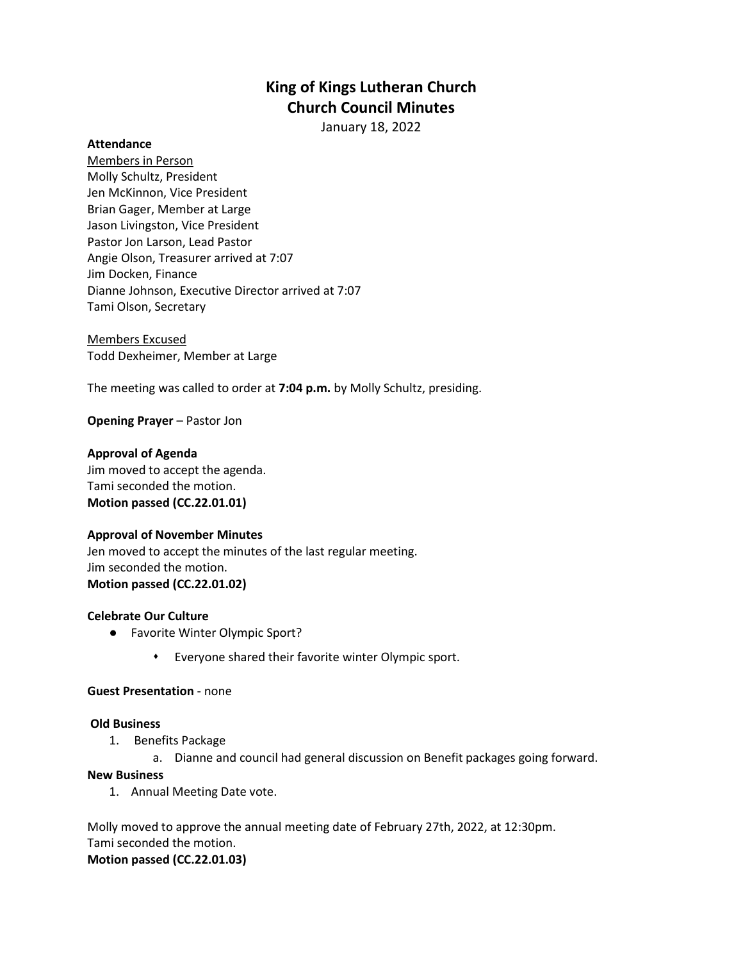# **King of Kings Lutheran Church Church Council Minutes**

January 18, 2022

#### **Attendance**

Members in Person Molly Schultz, President Jen McKinnon, Vice President Brian Gager, Member at Large Jason Livingston, Vice President Pastor Jon Larson, Lead Pastor Angie Olson, Treasurer arrived at 7:07 Jim Docken, Finance Dianne Johnson, Executive Director arrived at 7:07 Tami Olson, Secretary

Members Excused Todd Dexheimer, Member at Large

The meeting was called to order at **7:04 p.m.** by Molly Schultz, presiding.

**Opening Prayer** – Pastor Jon

#### **Approval of Agenda**

Jim moved to accept the agenda. Tami seconded the motion. **Motion passed (CC.22.01.01)** 

#### **Approval of November Minutes**

Jen moved to accept the minutes of the last regular meeting. Jim seconded the motion. **Motion passed (CC.22.01.02)** 

#### **Celebrate Our Culture**

- Favorite Winter Olympic Sport?
	- Everyone shared their favorite winter Olympic sport.

#### **Guest Presentation** - none

#### **Old Business**

- 1. Benefits Package
	- a. Dianne and council had general discussion on Benefit packages going forward.

#### **New Business**

1. Annual Meeting Date vote.

Molly moved to approve the annual meeting date of February 27th, 2022, at 12:30pm. Tami seconded the motion. **Motion passed (CC.22.01.03)**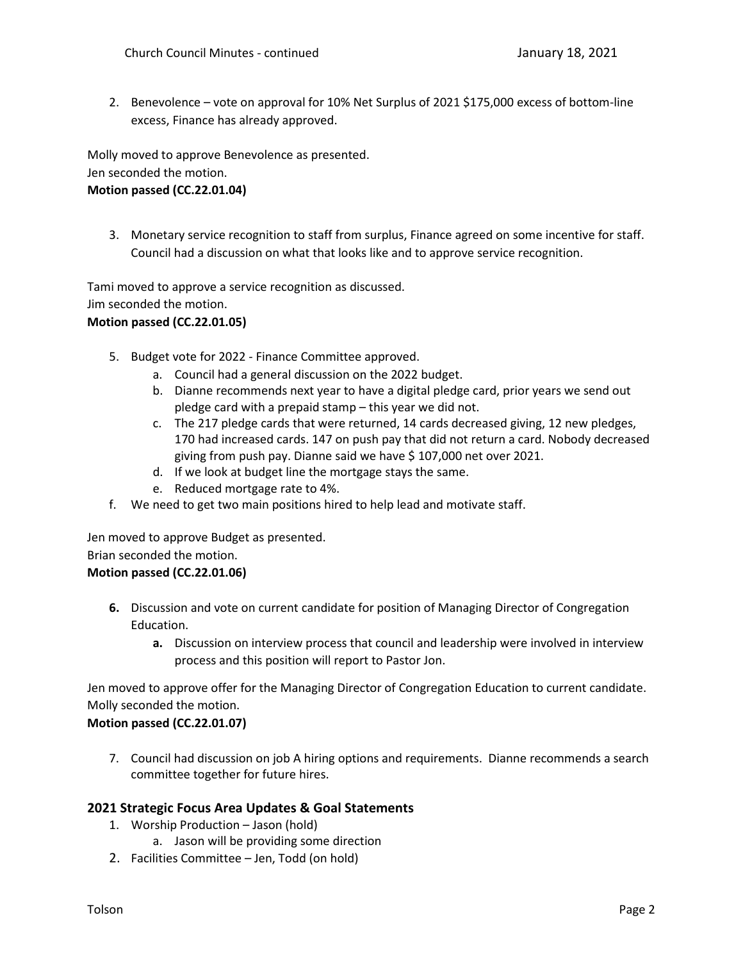2. Benevolence – vote on approval for 10% Net Surplus of 2021 \$175,000 excess of bottom-line excess, Finance has already approved.

Molly moved to approve Benevolence as presented.

Jen seconded the motion.

# **Motion passed (CC.22.01.04)**

3. Monetary service recognition to staff from surplus, Finance agreed on some incentive for staff. Council had a discussion on what that looks like and to approve service recognition.

Tami moved to approve a service recognition as discussed. Jim seconded the motion. **Motion passed (CC.22.01.05)**

- 5. Budget vote for 2022 Finance Committee approved.
	- a. Council had a general discussion on the 2022 budget.
	- b. Dianne recommends next year to have a digital pledge card, prior years we send out pledge card with a prepaid stamp – this year we did not.
	- c. The 217 pledge cards that were returned, 14 cards decreased giving, 12 new pledges, 170 had increased cards. 147 on push pay that did not return a card. Nobody decreased giving from push pay. Dianne said we have \$107,000 net over 2021.
	- d. If we look at budget line the mortgage stays the same.
	- e. Reduced mortgage rate to 4%.
- f. We need to get two main positions hired to help lead and motivate staff.

Jen moved to approve Budget as presented. Brian seconded the motion. **Motion passed (CC.22.01.06)**

- **6.** Discussion and vote on current candidate for position of Managing Director of Congregation Education.
	- **a.** Discussion on interview process that council and leadership were involved in interview process and this position will report to Pastor Jon.

Jen moved to approve offer for the Managing Director of Congregation Education to current candidate. Molly seconded the motion.

# **Motion passed (CC.22.01.07)**

7. Council had discussion on job A hiring options and requirements. Dianne recommends a search committee together for future hires.

# **2021 Strategic Focus Area Updates & Goal Statements**

- 1. Worship Production Jason (hold)
	- a. Jason will be providing some direction
- 2. Facilities Committee Jen, Todd (on hold)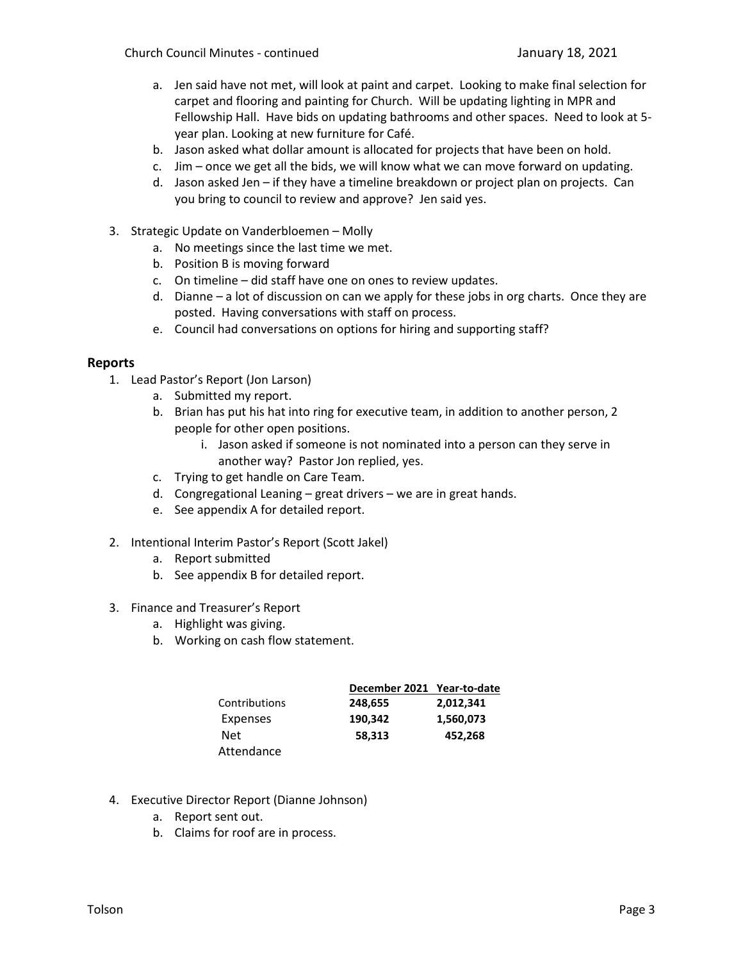- a. Jen said have not met, will look at paint and carpet. Looking to make final selection for carpet and flooring and painting for Church. Will be updating lighting in MPR and Fellowship Hall. Have bids on updating bathrooms and other spaces. Need to look at 5 year plan. Looking at new furniture for Café.
- b. Jason asked what dollar amount is allocated for projects that have been on hold.
- c. Jim once we get all the bids, we will know what we can move forward on updating.
- d. Jason asked Jen if they have a timeline breakdown or project plan on projects. Can you bring to council to review and approve? Jen said yes.
- 3. Strategic Update on Vanderbloemen Molly
	- a. No meetings since the last time we met.
	- b. Position B is moving forward
	- c. On timeline did staff have one on ones to review updates.
	- d. Dianne a lot of discussion on can we apply for these jobs in org charts. Once they are posted. Having conversations with staff on process.
	- e. Council had conversations on options for hiring and supporting staff?

#### **Reports**

- 1. Lead Pastor's Report (Jon Larson)
	- a. Submitted my report.
	- b. Brian has put his hat into ring for executive team, in addition to another person, 2 people for other open positions.
		- i. Jason asked if someone is not nominated into a person can they serve in another way? Pastor Jon replied, yes.
	- c. Trying to get handle on Care Team.
	- d. Congregational Leaning great drivers we are in great hands.
	- e. See appendix A for detailed report.
- 2. Intentional Interim Pastor's Report (Scott Jakel)
	- a. Report submitted
	- b. See appendix B for detailed report.
- 3. Finance and Treasurer's Report
	- a. Highlight was giving.
	- b. Working on cash flow statement.

|               | December 2021 Year-to-date |           |
|---------------|----------------------------|-----------|
| Contributions | 248,655                    | 2,012,341 |
| Expenses      | 190.342                    | 1,560,073 |
| Net.          | 58.313                     | 452,268   |
| Attendance    |                            |           |

- 4. Executive Director Report (Dianne Johnson)
	- a. Report sent out.
	- b. Claims for roof are in process.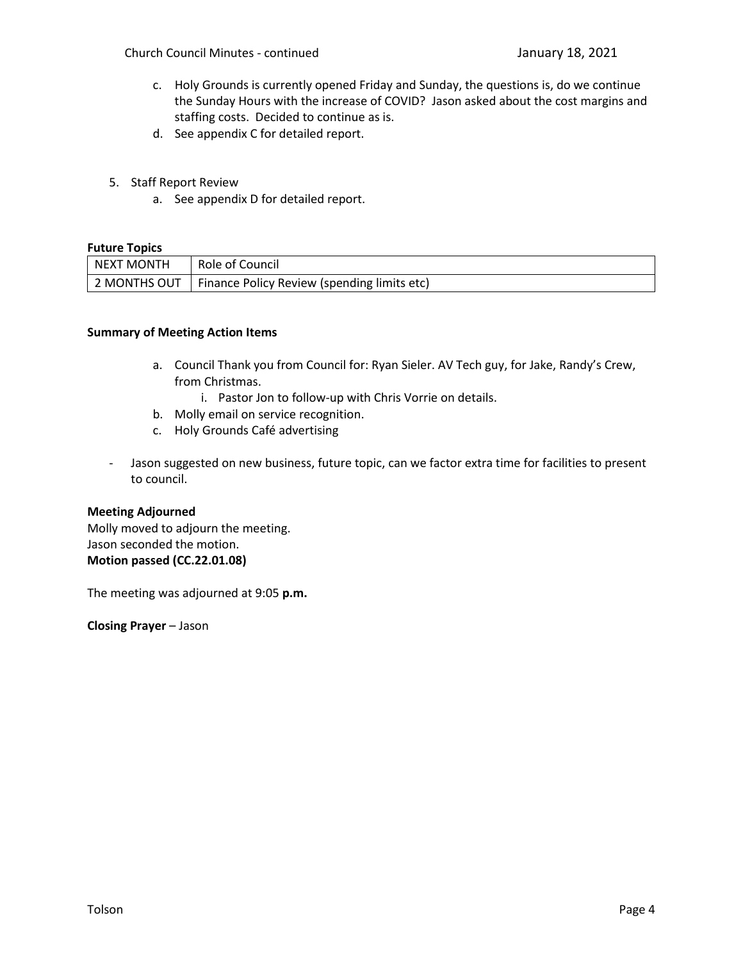- c. Holy Grounds is currently opened Friday and Sunday, the questions is, do we continue the Sunday Hours with the increase of COVID? Jason asked about the cost margins and staffing costs. Decided to continue as is.
- d. See appendix C for detailed report.
- 5. Staff Report Review
	- a. See appendix D for detailed report.

#### **Future Topics**

| . <b>.</b> .   |                                             |
|----------------|---------------------------------------------|
| NEXT MONTH     | Role of Council                             |
| I 2 MONTHS OUT | Finance Policy Review (spending limits etc) |

#### **Summary of Meeting Action Items**

- a. Council Thank you from Council for: Ryan Sieler. AV Tech guy, for Jake, Randy's Crew, from Christmas.
	- i. Pastor Jon to follow-up with Chris Vorrie on details.
- b. Molly email on service recognition.
- c. Holy Grounds Café advertising
- Jason suggested on new business, future topic, can we factor extra time for facilities to present to council.

#### **Meeting Adjourned**

Molly moved to adjourn the meeting. Jason seconded the motion. **Motion passed (CC.22.01.08)**

The meeting was adjourned at 9:05 **p.m.**

**Closing Prayer** – Jason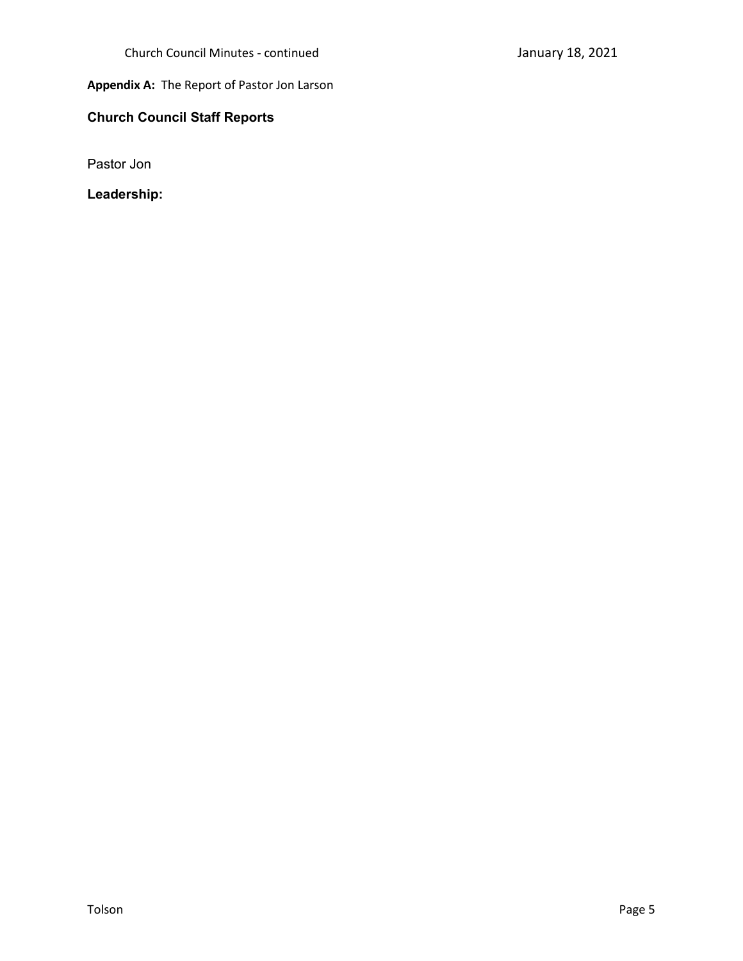# **Appendix A:** The Report of Pastor Jon Larson

# **Church Council Staff Reports**

Pastor Jon

**Leadership:**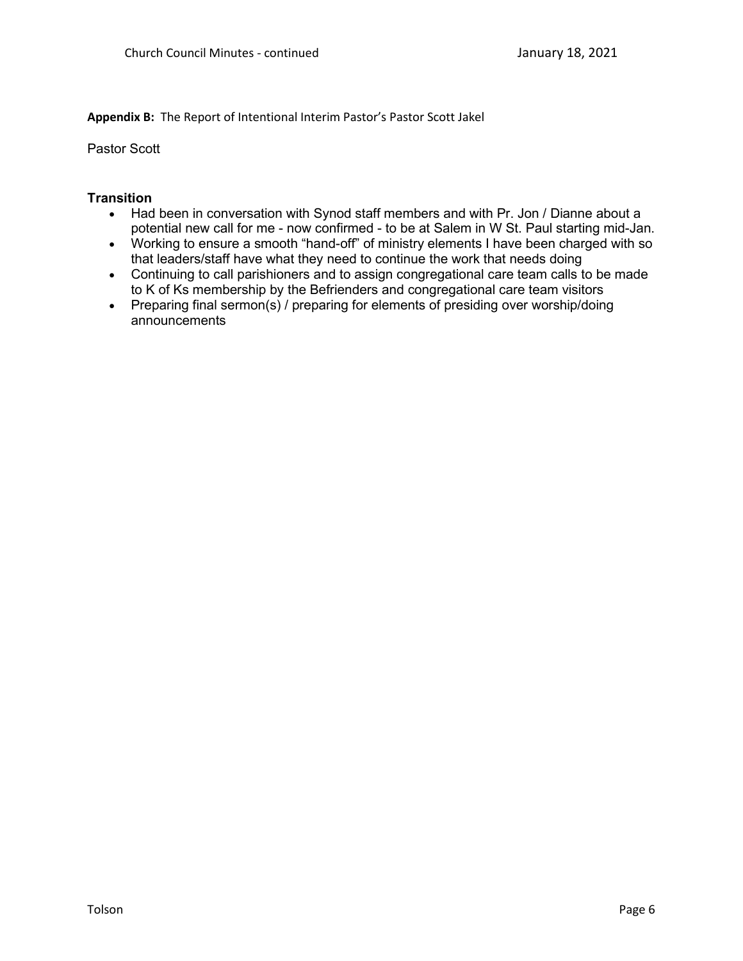**Appendix B:** The Report of Intentional Interim Pastor's Pastor Scott Jakel

Pastor Scott

# **Transition**

- Had been in conversation with Synod staff members and with Pr. Jon / Dianne about a potential new call for me - now confirmed - to be at Salem in W St. Paul starting mid-Jan.
- Working to ensure a smooth "hand-off" of ministry elements I have been charged with so that leaders/staff have what they need to continue the work that needs doing
- Continuing to call parishioners and to assign congregational care team calls to be made to K of Ks membership by the Befrienders and congregational care team visitors
- Preparing final sermon(s) / preparing for elements of presiding over worship/doing announcements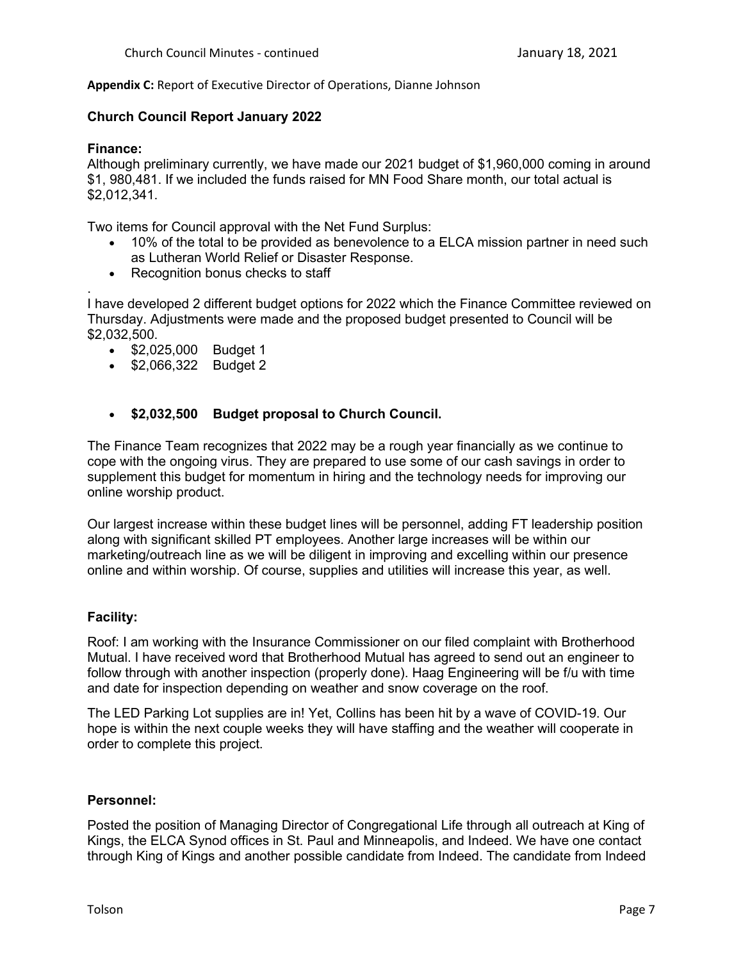**Appendix C:** Report of Executive Director of Operations, Dianne Johnson

# **Church Council Report January 2022**

#### **Finance:**

Although preliminary currently, we have made our 2021 budget of \$1,960,000 coming in around \$1, 980,481. If we included the funds raised for MN Food Share month, our total actual is \$2,012,341.

Two items for Council approval with the Net Fund Surplus:

- 10% of the total to be provided as benevolence to a ELCA mission partner in need such as Lutheran World Relief or Disaster Response.
- Recognition bonus checks to staff

. I have developed 2 different budget options for 2022 which the Finance Committee reviewed on Thursday. Adjustments were made and the proposed budget presented to Council will be \$2,032,500.

- \$2,025,000 Budget 1
- \$2,066,322 Budget 2

# • **\$2,032,500 Budget proposal to Church Council.**

The Finance Team recognizes that 2022 may be a rough year financially as we continue to cope with the ongoing virus. They are prepared to use some of our cash savings in order to supplement this budget for momentum in hiring and the technology needs for improving our online worship product.

Our largest increase within these budget lines will be personnel, adding FT leadership position along with significant skilled PT employees. Another large increases will be within our marketing/outreach line as we will be diligent in improving and excelling within our presence online and within worship. Of course, supplies and utilities will increase this year, as well.

#### **Facility:**

Roof: I am working with the Insurance Commissioner on our filed complaint with Brotherhood Mutual. I have received word that Brotherhood Mutual has agreed to send out an engineer to follow through with another inspection (properly done). Haag Engineering will be f/u with time and date for inspection depending on weather and snow coverage on the roof.

The LED Parking Lot supplies are in! Yet, Collins has been hit by a wave of COVID-19. Our hope is within the next couple weeks they will have staffing and the weather will cooperate in order to complete this project.

#### **Personnel:**

Posted the position of Managing Director of Congregational Life through all outreach at King of Kings, the ELCA Synod offices in St. Paul and Minneapolis, and Indeed. We have one contact through King of Kings and another possible candidate from Indeed. The candidate from Indeed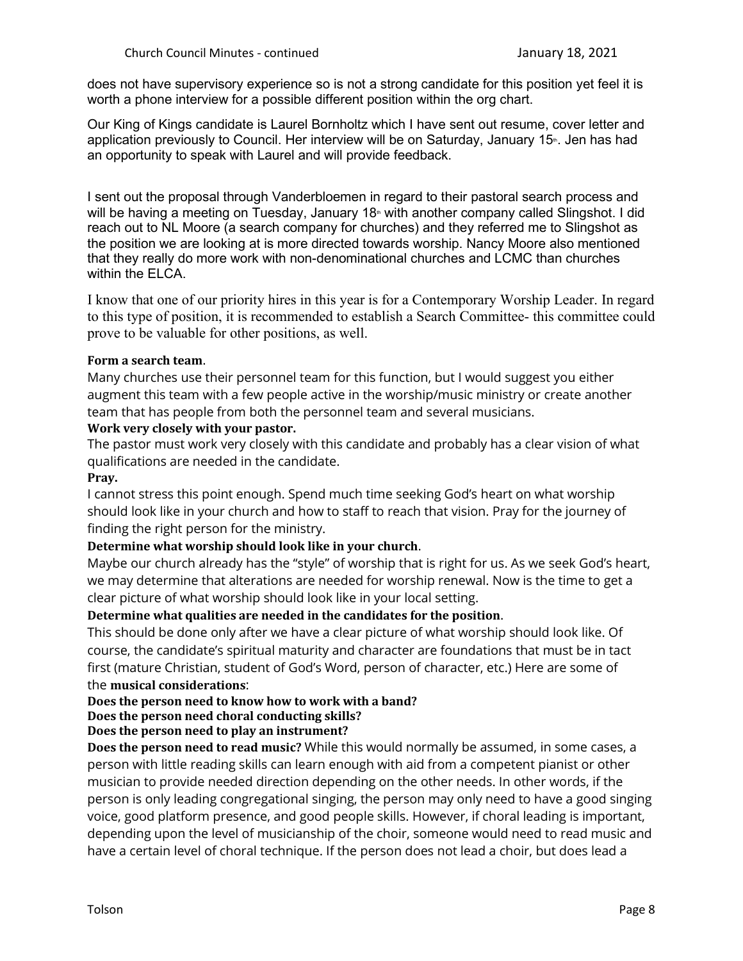does not have supervisory experience so is not a strong candidate for this position yet feel it is worth a phone interview for a possible different position within the org chart.

Our King of Kings candidate is Laurel Bornholtz which I have sent out resume, cover letter and application previously to Council. Her interview will be on Saturday, January 15<sup>th</sup>. Jen has had an opportunity to speak with Laurel and will provide feedback.

I sent out the proposal through Vanderbloemen in regard to their pastoral search process and will be having a meeting on Tuesday, January 18<sup>th</sup> with another company called Slingshot. I did reach out to NL Moore (a search company for churches) and they referred me to Slingshot as the position we are looking at is more directed towards worship. Nancy Moore also mentioned that they really do more work with non-denominational churches and LCMC than churches within the ELCA.

I know that one of our priority hires in this year is for a Contemporary Worship Leader. In regard to this type of position, it is recommended to establish a Search Committee- this committee could prove to be valuable for other positions, as well.

## **Form a search team**.

Many churches use their personnel team for this function, but I would suggest you either augment this team with a few people active in the worship/music ministry or create another team that has people from both the personnel team and several musicians.

## **Work very closely with your pastor.**

The pastor must work very closely with this candidate and probably has a clear vision of what qualifications are needed in the candidate.

#### **Pray.**

I cannot stress this point enough. Spend much time seeking God's heart on what worship should look like in your church and how to staff to reach that vision. Pray for the journey of finding the right person for the ministry.

# **Determine what worship should look like in your church**.

Maybe our church already has the "style" of worship that is right for us. As we seek God's heart, we may determine that alterations are needed for worship renewal. Now is the time to get a clear picture of what worship should look like in your local setting.

#### **Determine what qualities are needed in the candidates for the position**.

This should be done only after we have a clear picture of what worship should look like. Of course, the candidate's spiritual maturity and character are foundations that must be in tact first (mature Christian, student of God's Word, person of character, etc.) Here are some of the **musical considerations**:

#### **Does the person need to know how to work with a band?**

**Does the person need choral conducting skills?**

#### **Does the person need to play an instrument?**

**Does the person need to read music?** While this would normally be assumed, in some cases, a person with little reading skills can learn enough with aid from a competent pianist or other musician to provide needed direction depending on the other needs. In other words, if the person is only leading congregational singing, the person may only need to have a good singing voice, good platform presence, and good people skills. However, if choral leading is important, depending upon the level of musicianship of the choir, someone would need to read music and have a certain level of choral technique. If the person does not lead a choir, but does lead a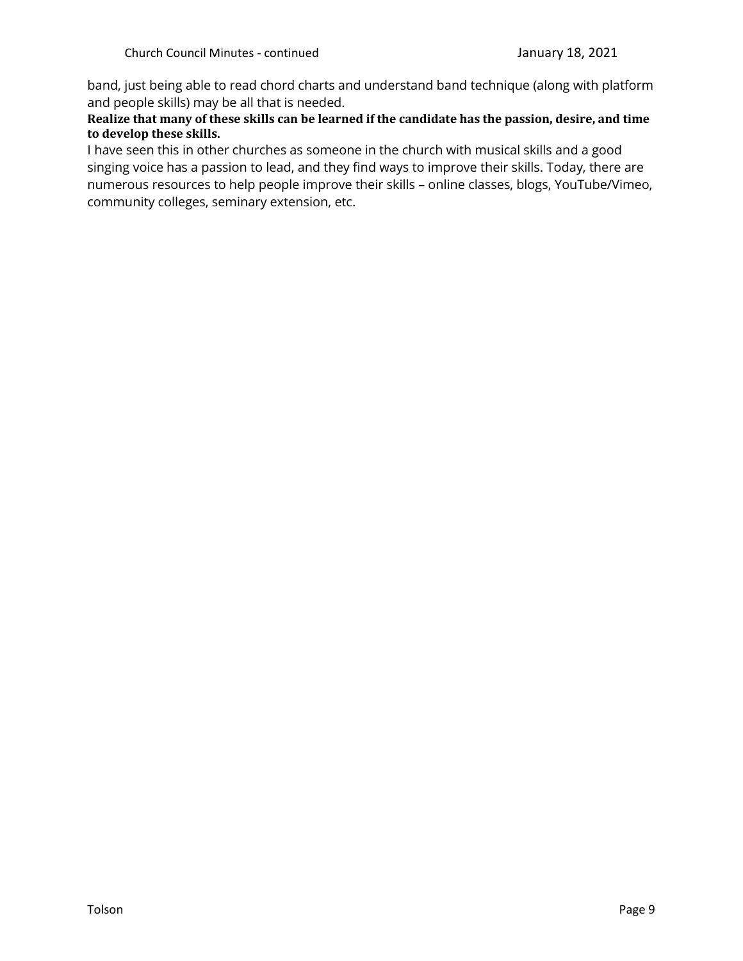band, just being able to read chord charts and understand band technique (along with platform and people skills) may be all that is needed.

## **Realize that many of these skills can be learned if the candidate has the passion, desire, and time to develop these skills.**

I have seen this in other churches as someone in the church with musical skills and a good singing voice has a passion to lead, and they find ways to improve their skills. Today, there are numerous resources to help people improve their skills – online classes, blogs, YouTube/Vimeo, community colleges, seminary extension, etc.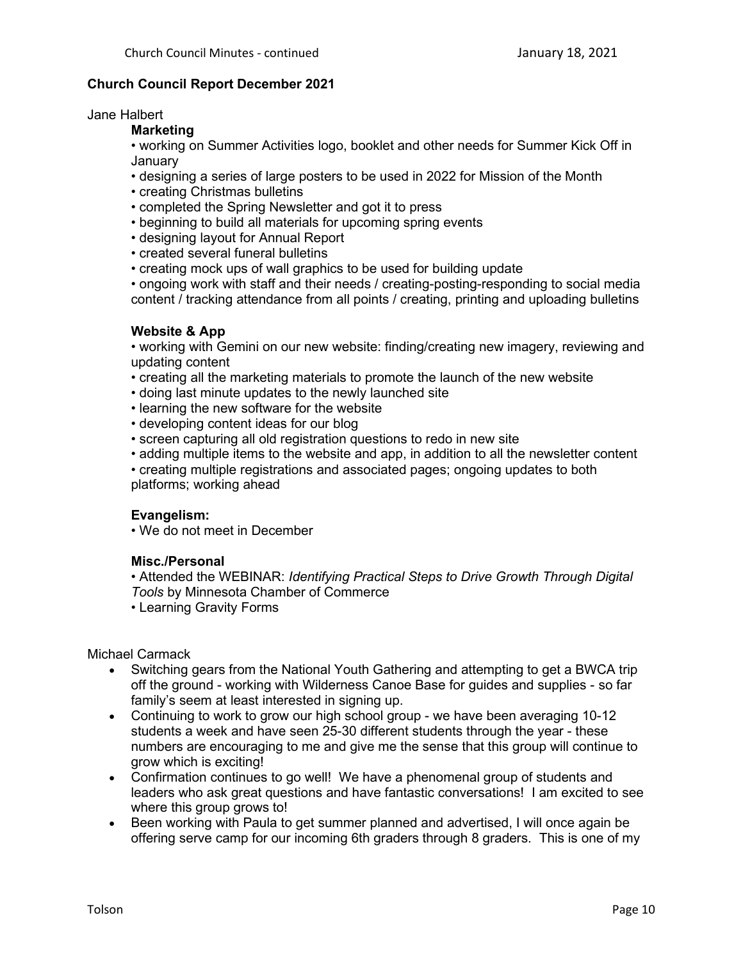# **Church Council Report December 2021**

Jane Halbert

# **Marketing**

• working on Summer Activities logo, booklet and other needs for Summer Kick Off in **January** 

- designing a series of large posters to be used in 2022 for Mission of the Month
- creating Christmas bulletins
- completed the Spring Newsletter and got it to press
- beginning to build all materials for upcoming spring events
- designing layout for Annual Report
- created several funeral bulletins
- creating mock ups of wall graphics to be used for building update

• ongoing work with staff and their needs / creating-posting-responding to social media content / tracking attendance from all points / creating, printing and uploading bulletins

## **Website & App**

• working with Gemini on our new website: finding/creating new imagery, reviewing and updating content

- creating all the marketing materials to promote the launch of the new website
- doing last minute updates to the newly launched site
- learning the new software for the website
- developing content ideas for our blog
- screen capturing all old registration questions to redo in new site
- adding multiple items to the website and app, in addition to all the newsletter content

• creating multiple registrations and associated pages; ongoing updates to both platforms; working ahead

#### **Evangelism:**

• We do not meet in December

#### **Misc./Personal**

• Attended the WEBINAR: *Identifying Practical Steps to Drive Growth Through Digital Tools* by Minnesota Chamber of Commerce

• Learning Gravity Forms

Michael Carmack

- Switching gears from the National Youth Gathering and attempting to get a BWCA trip off the ground - working with Wilderness Canoe Base for guides and supplies - so far family's seem at least interested in signing up.
- Continuing to work to grow our high school group we have been averaging 10-12 students a week and have seen 25-30 different students through the year - these numbers are encouraging to me and give me the sense that this group will continue to grow which is exciting!
- Confirmation continues to go well! We have a phenomenal group of students and leaders who ask great questions and have fantastic conversations! I am excited to see where this group grows to!
- Been working with Paula to get summer planned and advertised, I will once again be offering serve camp for our incoming 6th graders through 8 graders. This is one of my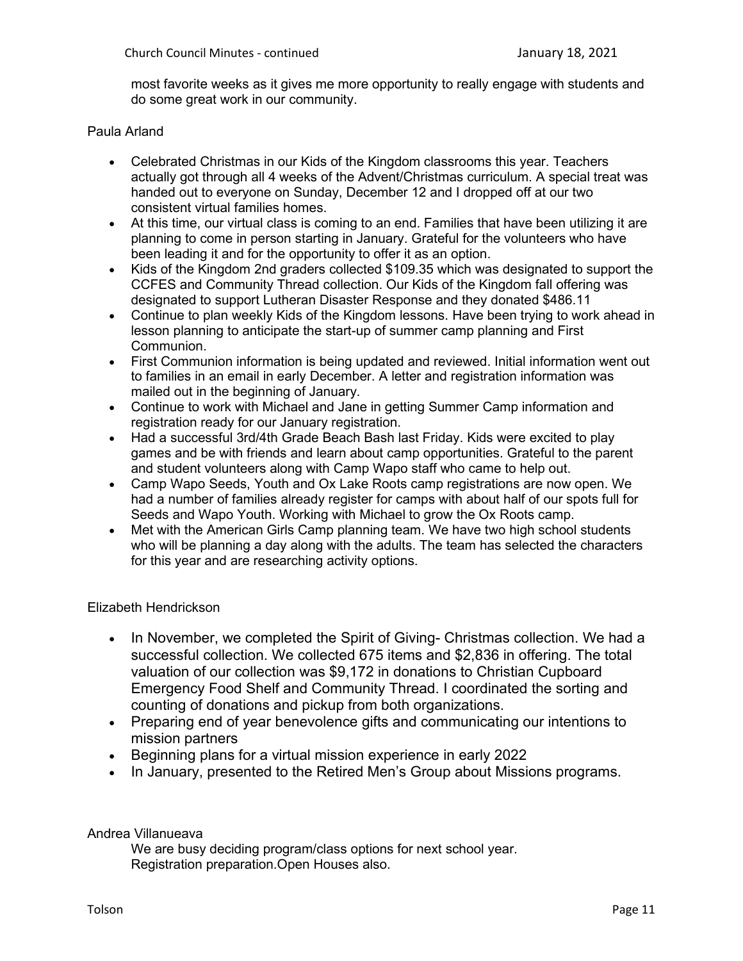most favorite weeks as it gives me more opportunity to really engage with students and do some great work in our community.

# Paula Arland

- Celebrated Christmas in our Kids of the Kingdom classrooms this year. Teachers actually got through all 4 weeks of the Advent/Christmas curriculum. A special treat was handed out to everyone on Sunday, December 12 and I dropped off at our two consistent virtual families homes.
- At this time, our virtual class is coming to an end. Families that have been utilizing it are planning to come in person starting in January. Grateful for the volunteers who have been leading it and for the opportunity to offer it as an option.
- Kids of the Kingdom 2nd graders collected \$109.35 which was designated to support the CCFES and Community Thread collection. Our Kids of the Kingdom fall offering was designated to support Lutheran Disaster Response and they donated \$486.11
- Continue to plan weekly Kids of the Kingdom lessons. Have been trying to work ahead in lesson planning to anticipate the start-up of summer camp planning and First Communion.
- First Communion information is being updated and reviewed. Initial information went out to families in an email in early December. A letter and registration information was mailed out in the beginning of January.
- Continue to work with Michael and Jane in getting Summer Camp information and registration ready for our January registration.
- Had a successful 3rd/4th Grade Beach Bash last Friday. Kids were excited to play games and be with friends and learn about camp opportunities. Grateful to the parent and student volunteers along with Camp Wapo staff who came to help out.
- Camp Wapo Seeds, Youth and Ox Lake Roots camp registrations are now open. We had a number of families already register for camps with about half of our spots full for Seeds and Wapo Youth. Working with Michael to grow the Ox Roots camp.
- Met with the American Girls Camp planning team. We have two high school students who will be planning a day along with the adults. The team has selected the characters for this year and are researching activity options.

# Elizabeth Hendrickson

- In November, we completed the Spirit of Giving- Christmas collection. We had a successful collection. We collected 675 items and \$2,836 in offering. The total valuation of our collection was \$9,172 in donations to Christian Cupboard Emergency Food Shelf and Community Thread. I coordinated the sorting and counting of donations and pickup from both organizations.
- Preparing end of year benevolence gifts and communicating our intentions to mission partners
- Beginning plans for a virtual mission experience in early 2022
- In January, presented to the Retired Men's Group about Missions programs.

# Andrea Villanueava

We are busy deciding program/class options for next school year. Registration preparation.Open Houses also.